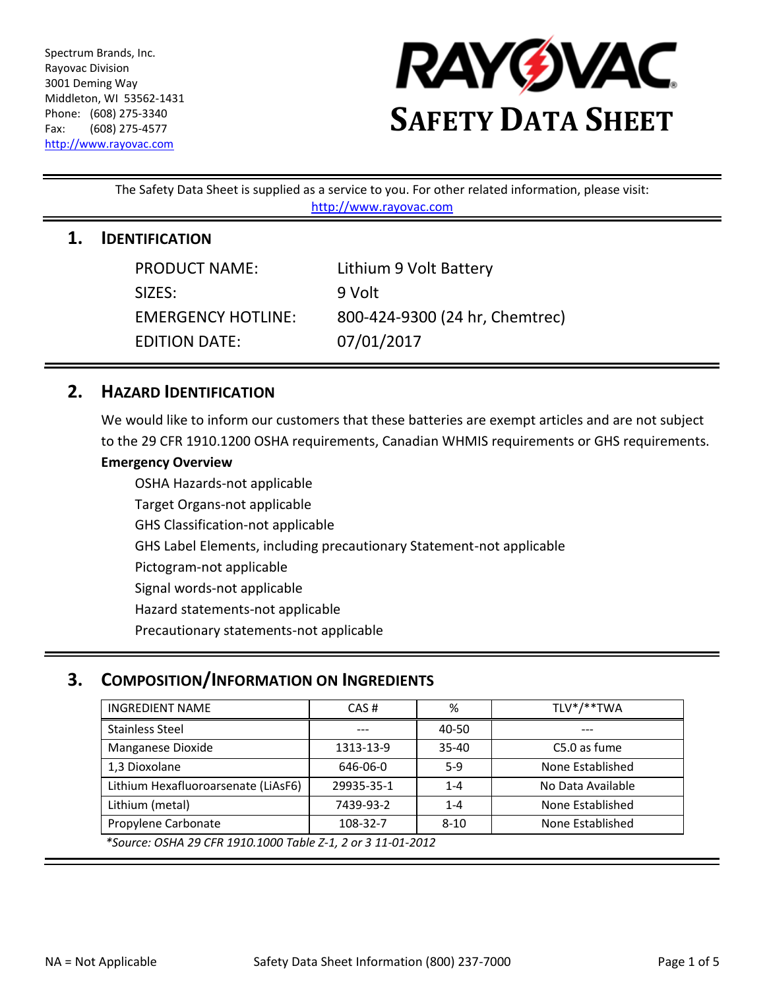Spectrum Brands, Inc. Rayovac Division 3001 Deming Way Middleton, WI 53562-1431 Phone: (608) 275-3340 Fax: (608) 275-4577 [http://www.rayovac.com](http://www.rayovac.com/)



The Safety Data Sheet is supplied as a service to you. For other related information, please visit: [http://www.rayovac.com](http://www.rayovac.com/)

#### **1. IDENTIFICATION**

| <b>PRODUCT NAME:</b>      | Lithium 9 Volt Battery         |
|---------------------------|--------------------------------|
| SIZES:                    | 9 Volt                         |
| <b>EMERGENCY HOTLINE:</b> | 800-424-9300 (24 hr, Chemtrec) |
| <b>EDITION DATE:</b>      | 07/01/2017                     |

### **2. HAZARD IDENTIFICATION**

We would like to inform our customers that these batteries are exempt articles and are not subject to the 29 CFR 1910.1200 OSHA requirements, Canadian WHMIS requirements or GHS requirements.

#### **Emergency Overview**

OSHA Hazards-not applicable Target Organs-not applicable GHS Classification-not applicable GHS Label Elements, including precautionary Statement-not applicable Pictogram-not applicable Signal words-not applicable Hazard statements-not applicable Precautionary statements-not applicable

# **3. COMPOSITION/INFORMATION ON INGREDIENTS**

| <b>INGREDIENT NAME</b>                                      | CAS#       | %         | TLV*/**TWA        |  |
|-------------------------------------------------------------|------------|-----------|-------------------|--|
| <b>Stainless Steel</b>                                      |            | 40-50     |                   |  |
| Manganese Dioxide                                           | 1313-13-9  | $35 - 40$ | C5.0 as fume      |  |
| 1,3 Dioxolane                                               | 646-06-0   | $5-9$     | None Established  |  |
| Lithium Hexafluoroarsenate (LiAsF6)                         | 29935-35-1 | $1 - 4$   | No Data Available |  |
| Lithium (metal)                                             | 7439-93-2  | $1 - 4$   | None Established  |  |
| Propylene Carbonate                                         | 108-32-7   | $8 - 10$  | None Established  |  |
| *Source: OSHA 29 CFR 1910.1000 Table Z-1, 2 or 3 11-01-2012 |            |           |                   |  |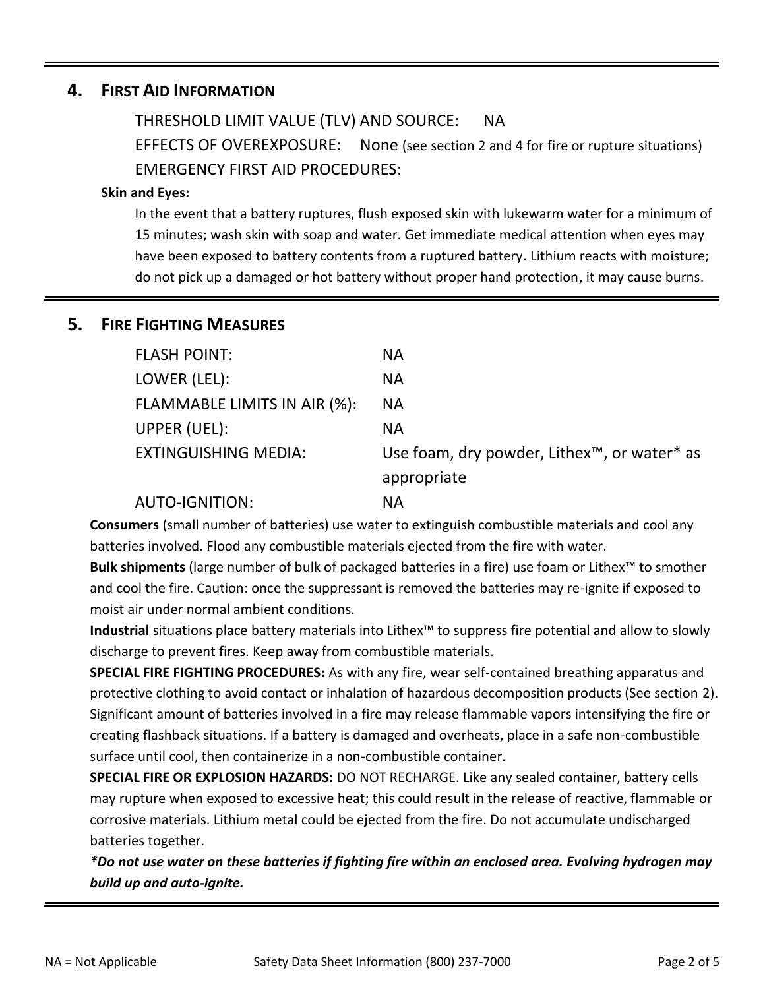## **4. FIRST AID INFORMATION**

THRESHOLD LIMIT VALUE (TLV) AND SOURCE: NA

EFFECTS OF OVEREXPOSURE: None (see section 2 and 4 for fire or rupture situations) EMERGENCY FIRST AID PROCEDURES:

#### **Skin and Eyes:**

In the event that a battery ruptures, flush exposed skin with lukewarm water for a minimum of 15 minutes; wash skin with soap and water. Get immediate medical attention when eyes may have been exposed to battery contents from a ruptured battery. Lithium reacts with moisture; do not pick up a damaged or hot battery without proper hand protection, it may cause burns.

# **5. FIRE FIGHTING MEASURES**

| <b>NA</b>                                                            |
|----------------------------------------------------------------------|
| <b>NA</b>                                                            |
| <b>NA</b>                                                            |
| <b>NA</b>                                                            |
| Use foam, dry powder, Lithex <sup>™</sup> , or water <sup>*</sup> as |
| appropriate                                                          |
| ΝA                                                                   |
|                                                                      |

**Consumers** (small number of batteries) use water to extinguish combustible materials and cool any batteries involved. Flood any combustible materials ejected from the fire with water.

**Bulk shipments** (large number of bulk of packaged batteries in a fire) use foam or Lithex™ to smother and cool the fire. Caution: once the suppressant is removed the batteries may re-ignite if exposed to moist air under normal ambient conditions.

**Industrial** situations place battery materials into Lithex™ to suppress fire potential and allow to slowly discharge to prevent fires. Keep away from combustible materials.

**SPECIAL FIRE FIGHTING PROCEDURES:** As with any fire, wear self-contained breathing apparatus and protective clothing to avoid contact or inhalation of hazardous decomposition products (See section 2). Significant amount of batteries involved in a fire may release flammable vapors intensifying the fire or creating flashback situations. If a battery is damaged and overheats, place in a safe non-combustible surface until cool, then containerize in a non-combustible container.

**SPECIAL FIRE OR EXPLOSION HAZARDS:** DO NOT RECHARGE. Like any sealed container, battery cells may rupture when exposed to excessive heat; this could result in the release of reactive, flammable or corrosive materials. Lithium metal could be ejected from the fire. Do not accumulate undischarged batteries together.

*\*Do not use water on these batteries if fighting fire within an enclosed area. Evolving hydrogen may build up and auto-ignite.*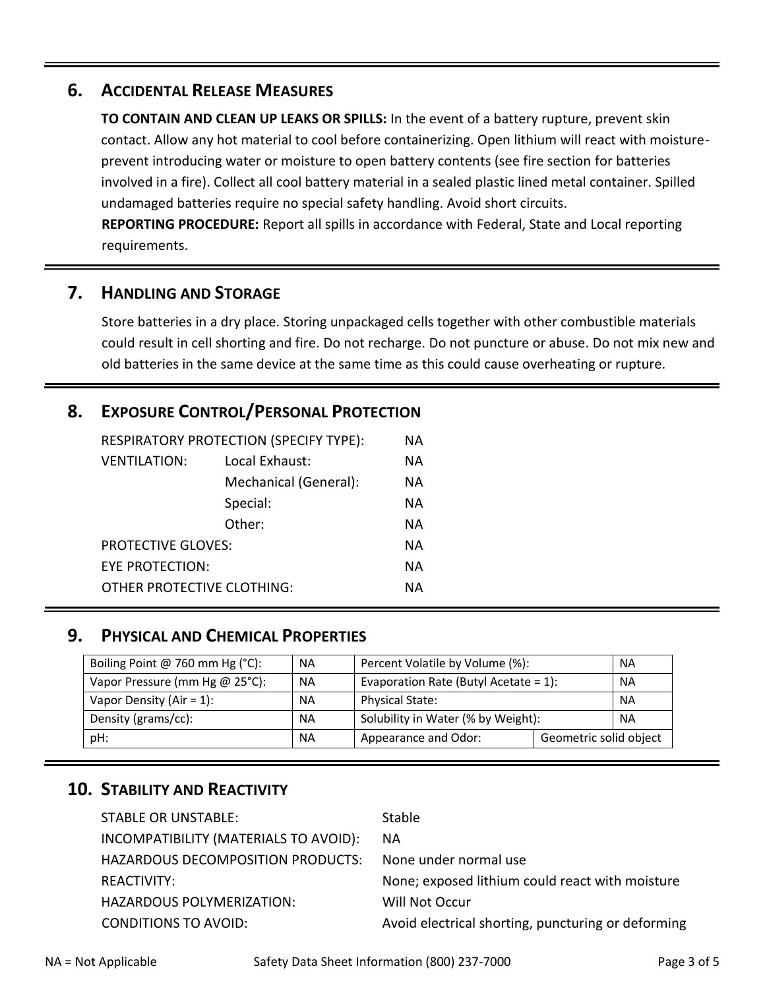## **6. ACCIDENTAL RELEASE MEASURES**

**TO CONTAIN AND CLEAN UP LEAKS OR SPILLS:** In the event of a battery rupture, prevent skin contact. Allow any hot material to cool before containerizing. Open lithium will react with moistureprevent introducing water or moisture to open battery contents (see fire section for batteries involved in a fire). Collect all cool battery material in a sealed plastic lined metal container. Spilled undamaged batteries require no special safety handling. Avoid short circuits. **REPORTING PROCEDURE:** Report all spills in accordance with Federal, State and Local reporting requirements.

## **7. HANDLING AND STORAGE**

Store batteries in a dry place. Storing unpackaged cells together with other combustible materials could result in cell shorting and fire. Do not recharge. Do not puncture or abuse. Do not mix new and old batteries in the same device at the same time as this could cause overheating or rupture.

# **8. EXPOSURE CONTROL/PERSONAL PROTECTION**

| RESPIRATORY PROTECTION (SPECIFY TYPE): |                       | ΝA        |
|----------------------------------------|-----------------------|-----------|
| <b>VENTILATION:</b>                    | Local Exhaust:        | <b>NA</b> |
|                                        | Mechanical (General): | <b>NA</b> |
|                                        | Special:              | NА        |
|                                        | Other:                | <b>NA</b> |
| <b>PROTECTIVE GLOVES:</b>              |                       | NА        |
| EYE PROTECTION:                        |                       | NА        |
| OTHER PROTECTIVE CLOTHING:             |                       | NА        |

# **9. PHYSICAL AND CHEMICAL PROPERTIES**

| Boiling Point @ 760 mm Hg (°C): | <b>NA</b> | Percent Volatile by Volume (%):                |  | <b>NA</b> |
|---------------------------------|-----------|------------------------------------------------|--|-----------|
| Vapor Pressure (mm Hg @ 25°C):  | <b>NA</b> | Evaporation Rate (Butyl Acetate = $1$ ):       |  | <b>NA</b> |
| Vapor Density (Air = $1$ ):     | <b>NA</b> | <b>Physical State:</b>                         |  | <b>NA</b> |
| Density (grams/cc):             | <b>NA</b> | Solubility in Water (% by Weight):             |  | <b>NA</b> |
| pH:                             | <b>NA</b> | Geometric solid object<br>Appearance and Odor: |  |           |

# **10. STABILITY AND REACTIVITY**

| <b>Stable</b>                                      |
|----------------------------------------------------|
| <b>NA</b>                                          |
| None under normal use                              |
| None; exposed lithium could react with moisture    |
| Will Not Occur                                     |
| Avoid electrical shorting, puncturing or deforming |
|                                                    |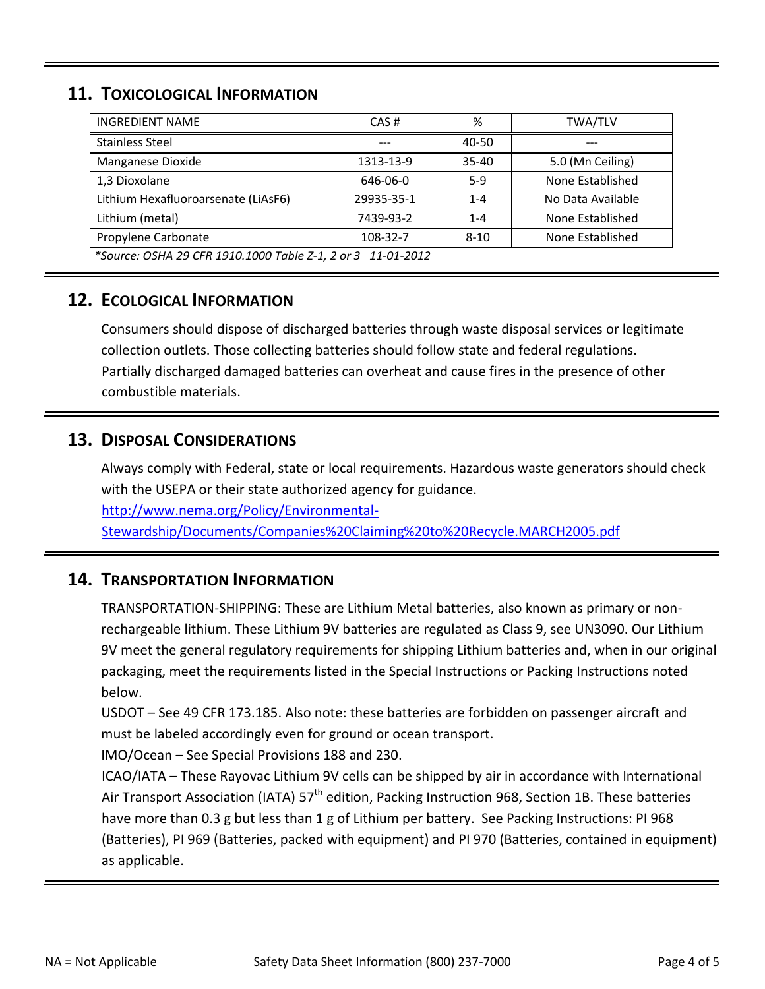# **11. TOXICOLOGICAL INFORMATION**

| <b>INGREDIENT NAME</b>                                      | CAS#       | %         | <b>TWA/TLV</b>    |  |
|-------------------------------------------------------------|------------|-----------|-------------------|--|
| <b>Stainless Steel</b>                                      |            | $40 - 50$ | ---               |  |
| Manganese Dioxide                                           | 1313-13-9  | $35 - 40$ | 5.0 (Mn Ceiling)  |  |
| 1,3 Dioxolane                                               | 646-06-0   | $5-9$     | None Established  |  |
| Lithium Hexafluoroarsenate (LiAsF6)                         | 29935-35-1 | $1 - 4$   | No Data Available |  |
| Lithium (metal)                                             | 7439-93-2  | $1 - 4$   | None Established  |  |
| Propylene Carbonate                                         | 108-32-7   | $8 - 10$  | None Established  |  |
| *Source: OSHA 29 CFR 1910.1000 Table Z-1, 2 or 3 11-01-2012 |            |           |                   |  |

# **12. ECOLOGICAL INFORMATION**

Consumers should dispose of discharged batteries through waste disposal services or legitimate collection outlets. Those collecting batteries should follow state and federal regulations. Partially discharged damaged batteries can overheat and cause fires in the presence of other combustible materials.

## **13. DISPOSAL CONSIDERATIONS**

Always comply with Federal, state or local requirements. Hazardous waste generators should check with the USEPA or their state authorized agency for guidance. [http://www.nema.org/Policy/Environmental-](http://www.nema.org/Policy/Environmental-Stewardship/Documents/Companies%20Claiming%20to%20Recycle.MARCH2005.pdf)

[Stewardship/Documents/Companies%20Claiming%20to%20Recycle.MARCH2005.pdf](http://www.nema.org/Policy/Environmental-Stewardship/Documents/Companies%20Claiming%20to%20Recycle.MARCH2005.pdf)

# **14. TRANSPORTATION INFORMATION**

TRANSPORTATION-SHIPPING: These are Lithium Metal batteries, also known as primary or nonrechargeable lithium. These Lithium 9V batteries are regulated as Class 9, see UN3090. Our Lithium 9V meet the general regulatory requirements for shipping Lithium batteries and, when in our original packaging, meet the requirements listed in the Special Instructions or Packing Instructions noted below.

USDOT – See 49 CFR 173.185. Also note: these batteries are forbidden on passenger aircraft and must be labeled accordingly even for ground or ocean transport.

IMO/Ocean – See Special Provisions 188 and 230.

ICAO/IATA – These Rayovac Lithium 9V cells can be shipped by air in accordance with International Air Transport Association (IATA) 57<sup>th</sup> edition, Packing Instruction 968, Section 1B. These batteries have more than 0.3 g but less than 1 g of Lithium per battery. See Packing Instructions: PI 968 (Batteries), PI 969 (Batteries, packed with equipment) and PI 970 (Batteries, contained in equipment) as applicable.